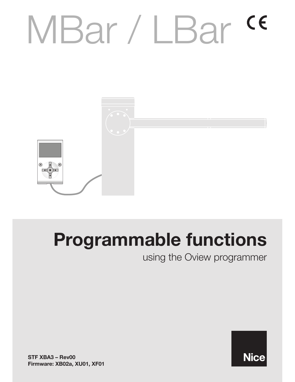# MBar / LBar <sup>ce</sup>



# Programmable functions

using the Oview programmer

STF XBA3 – Rev00 Firmware: XB02a, XU01, XF01

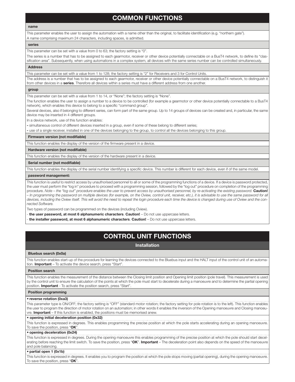# COMMON FUNCTIONS

#### name

This parameter enables the user to assign the automation with a name other than the original, to facilitate identification (e.g. "northern gate"). A name comprising maximum 24 characters, including spaces, is admitted.

#### series

This parameter can be set with a value from 0 to 63; the factory setting is "0".

The series is a number that has to be assigned to each gearmotor, receiver or other device potentially connectable on a BusT4 network, to define its "classification area". Subsequently, when using automations in a complex system, all devices with the same series number can be controlled simultaneously.

#### Address

This parameter can be set with a value from 1 to 128; the factory setting is "2" for Receivers and 3 for Control Units.

The address is a number that has to be assigned to each gearmotor, receiver or other device potentially connectable on a BusT4 network, to distinguish it from other devices in a **series**. Therefore all devices within a series must have a different address from one another.

#### group

This parameter can be set with a value from 1 to 14, or "None"; the factory setting is "None".

The function enables the user to assign a number to a device to be controlled (for example a gearmotor or other device potentially connectable to a BusT4 network), which enables this device to belong to a specific "command group".

Several devices, also if belonging to different series, can form part of the same group. Up to 14 groups of devices can be created and, in particular, the same device may be inserted in 4 different groups

In a device network, use of this function enables:

- simultaneous control of different devices inserted in a group, even if some of these belong to different series;

- use of a single receiver, installed in one of the devices belonging to the group, to control all the devices belonging to this group

#### Firmware version (not modifiable)

This function enables the display of the version of the firmware present in a device.

#### Hardware version (not modifiable)

This function enables the display of the version of the hardware present in a device.

#### Serial number (not modifiable)

This function enables the display of the serial number identifying a specific device. This number is different for each device, even if of the same model.

#### password management:

This function is useful to restrict access by unauthorised personnel to all or some of the programming functions of a device If a device is password protected, the user must perform the "log in" procedure to proceed with a programming session, followed by the "log out" procedure on completion of the programming procedure. Note - the "log out" procedure enables the user to prevent access by unauthorised personnel, by re-activating the existing password. Caution! *– In programming the password on multiple devices (for example, on the Oview, control unit, receiver, etc.), it is advisable to use the same password for all devices, including the Oview itself. This will avoid the need to repeat the login procedure each time the device is changed during use of Oview and the connected Software.*

Two types of password can be programmed on the devices (including Oview).

- the user password, at most 6 alphanumeric characters. Caution! - Do not use uppercase letters.

the installer password, at most 6 alphanumeric characters. Caution! - Do not use uppercase letters.

# CONTROL UNIT FUNCTIONS

#### Installation

#### Bluebus search (0x0a)

This function enables start-up of the procedure for learning the devices connected to the Bluebus input and the HALT input of the control unit of an automation. Important - To activate the device search, press "Start".

#### Position search

This function enables the measurement of the distance between the Closing limit position and Opening limit position (pole travel). This measurement is used by the control unit to ensure the calculation of the points at which the pole must start to decelerate during a manoeuvre and to determine the partial opening position. Important - To activate the position search, press "Start".

#### Position programming

#### • reverse rotation (0xa3)

This parameter type is ON/OFF; the factory setting is "OFF" (standard motor rotation; the factory setting for pole rotation is to the left). This function enables the user to program the direction of motor rotation on an automation; in other words it enables the inversion of the Opening manoeuvre and Closing manoeuvre. Important - If this function is enabled, the positions must be memorised anew

#### • opening initial deceleration position (0x32)

This function is expressed in degrees. This enables programming the precise position at which the pole starts accelerating during an opening manoeuvre. To save the position, press " $OK$ "

#### $\bullet$  opening deceleration (0x24)

This function is expressed in degrees. During the opening manoeuvre this enables programming of the precise position at which the pole should start decelerating before reaching the limit switch. To save the position, press "OK". Important - The deceleration point also depends on the speed of the manoeuvre and pole balancing

#### • partial open 1 (0x1b)

This function is expressed in degrees. It enables you to program the position at which the pole stops moving (partial opening), during the opening manoeuvre. To save the position, press "OK"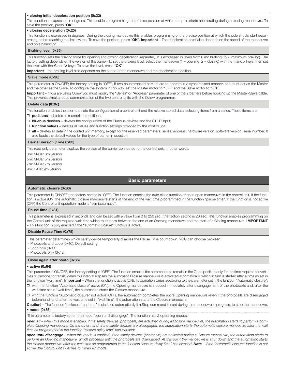#### • closing initial deceleration position (0x33)

This function is expressed in degrees. This enables programming the precise position at which the pole starts accelerating during a closing manoeuvre. To save the position, press " $OK$ ".

#### • closing deceleration (0x25)

This function is expressed in degrees. During the closing manoeuvre this enables programming of the precise position at which the pole should start decelerating before reaching the limit switch. To save the position, press "OK". Important - The deceleration point also depends on the speed of the manoeuvre and pole balancing

#### Braking level (0x35)

This function sets the braking force for opening and closing deceleration separately. It is expressed in levels from 0 (no braking) to 9 (maximum braking). The factory setting depends on the version of the barrier. To set the braking level, select the manoeuvre (1 = opening, 2 = closing) with the < and > keys; then set the level with the  $\Lambda$  and  $V$  keys. To save the level, press "OK".

Important – the braking level also depends on the speed of the manoeuvre and the deceleration position.

#### Slave mode (0x98)

This parameter is ON/OFF; the factory setting is "OFF". If two counterposed barriers are to operate in a synchronised manner, one must act as the Master and the other as the Slave. To configure the system in this way, set the Master motor to "OFF" and the Slave motor to "ON".

Important - If you are using Oview you must modify the "Series" or "Address" parameter of one of the 2 barriers before hooking up the Master-Slave cable. This prevents simultaneous communication of the two control units with the Oview programmer

#### Delete data (0x0c)

This function enables the user to delete the conjguration of a control unit and the relative stored data, selecting items from a series These items are:  $\square$  positions – deletes all memorized positions;

 $\Box$  bluebus devices – deletes the configuration of the Bluebus devices and the STOP input;

 $\Box$  function values – deletes all values and function settings provided by the control unit;

D all - deletes all data in the control unit memory, except for the reserved parameters: series, address, hardware version, software version, serial number. It also loads the default values for the type of barrier in question.

#### Barrier version (code 0x03)

This read only parameter displays the version of the barrier connected to the control unit In other words:

3m: M-Bar 3m version

5m: M-Bar 5m version

7m: M-Bar 7m version

9m: L-Bar 9m version

#### Basic parameters

#### Automatic closure (0x80)

This parameter is ON/OFF; the factory setting is "OFF". The function enables the auto close function after an open manoeuvre in the control unit. If the function is active (ON) the automatic closure manoeuvre starts at the end of the wait time programmed in the function "pause time". If the function is not active (OFF) the Control unit operation mode is "semiautomatic"

#### Pause time (0x81)

This parameter is expressed in seconds and can be set with a value from 0 to 250 sec.; the factory setting is 20 sec. This function enables programming on the Control unit of the required wait time which must pass between the end of an Opening manoeuvre and the start of a Closing manoeuvre. IMPORTANT - This function is only enabled if the "automatic closure" function is active.

#### Disable Pause Time (0x78)

This parameter determines which safety device temporarily disables the Pause Time countdown. YOU can choose between:

- Photocells and Loop (0x40). Default setting

 $-Loop only (0x41).$ 

- Photocells only (0x42).

#### Close again after photo (0x86)

#### $\bullet$  active (0x84)

This parameter is ON/OFF; the factory setting is "OFF". The function enables the automation to remain in the Open position only for the time required for vehicles or persons to transit. When this interval elapses the Automatic Closure manoeuvre is activated automatically, which in turn is started after a time as set in the function "wait time". Important - When the function is active (ON), its operation varies according to the parameter set in the function "Automatic closure":

 $\Box$  with the function "Automatic closure" active (ON), the Opening manoeuvre is stopped immediately after disengagement of the photocells and, after the wait time set in "wait time", the automation starts the Closure manoeuvre.

□ with the function "Automatic closure" not active (OFF), the automation completes the entire Opening manoeuvre (even if the photocells are disengaged beforehand) and, after the wait time set in "wait time", the automation starts the Closure manoeuvre.

Caution! - The function "reclose after photo" is disabled automatically if a Stop command is sent during the manoeuvre in progress, to stop the manoeuvre.  $\bullet$  mode (0x86)

#### This parameter is factory set on the mode "open until disengage". The function has 2 operating modes:

*open all – when this mode is enabled, if the safety devices (photocells) are activated during a Closure manoeuvre, the automation starts to perform a com*plete Opening manoeuvre. On the other hand, if the safety devices are disengaged, the automation starts the automatic closure manoeuvre after the wait *time as programmed in the function "closure delay time" has elapsed;*

*open until disengage – when this mode is enabled, if the safety devices (photocells) are activated during a Closure manoeuvre, the automation starts to perform an Opening manoeuvre, which proceeds until the photocells are disengaged. At this point the manoeuvre is shut down and the automation starts*  the closure manoeuvre after the wait time as programmed in the function "closure delay time" has elapsed. **Note** - If the "Automatic closure" function is not *active, the Control unit switches to "open all" mode.*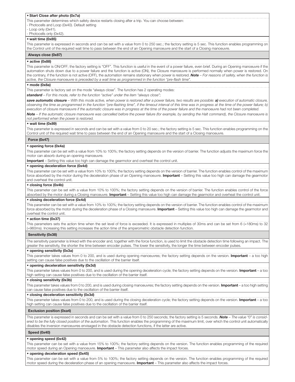#### • Start Close after photo (0x7a)

This parameter determines which safety device restarts closing after a trip. You can choose between:

- Photocells and Loop (0x40). Default setting

 $-L$ oop only  $(0x41)$ .

#### - Photocells only (0x42).

#### $\bullet$  wait time (0x85)

This parameter is expressed in seconds and can be set with a value from 0 to 250 sec.; the factory setting is 5 sec. This function enables programming on the Control unit of the required wait time to pass between the end of an Opening manoeuvre and the start of a Closing manoeuvre.

#### Always close (0x87)

#### $\bullet$  active (0x88)

This parameter is ON/OFF; the factory setting is "OFF". This function is useful in the event of a power failure, even brief. During an Opening manoeuvre if the automation shuts down due to a power failure and the function is active (ON), the Closure manoeuvre is performed normally when power is restored. On the contrary, if the function is not active (OFF), the automation remains stationary when power is restored. Note - For reasons of safety, when the function is *active, the Closure manoeuvre is preceded by a wait time as programmed in the function "pre-flash time".* 

#### $•$  mode (0 $x8a$ )

This parameter is factory set on the mode "always close". The function has 2 operating modes:

*standard – For this mode, refer to the function "active" under the item "always close";*

save automatic closure - With this mode active, when power is restored after a power failure, two results are possible: a) execution of automatic closure, *observing the time as programmed in the function "pre-flashing time", if the timeout interval of this time was in progress at the time of the power failure; b) execution of closure manoeuvre if the automatic closure was in progress at the time of the power failure and the manoeuvre had not been completed.*

*Note – If the automatic closure manoeuvre was cancelled before the power failure (for example, by sending the Halt command), the Closure manoeuvre is not performed when the power is restored.*

#### $\bullet$  wait time (0x89)

This parameter is expressed in seconds and can be set with a value from 0 to 20 sec.; the factory setting is 5 sec. This function enables programming on the Control unit of the required wait time to pass between the end of an Opening manoeuvre and the start of a Closing manoeuvre.

#### Force  $(0x47)$

#### • opening force (0x4a)

This parameter can be set with a value from 10% to 100%; the factory setting depends on the version of barrier. The function adjusts the maximum force the motor can absorb during an opening manoeuvre

Important – Setting this value too high can damage the gearmotor and overheat the control unit.

#### $\bullet$  opening deceleration force (0x4d)

This parameter can be set with a value from 10% to 100%; the factory setting depends on the version of barrier. The function enables control of the maximum force absorbed by the motor during the deceleration phase of an Opening manoeuvre. **Important** – Setting this value too high can damage the gearmotor and overheat the control unit

#### • closing force (0x4b)

This parameter can be set with a value from 10% to 100%; the factory setting depends on the version of barrier. The function enables control of the force absorbed by the motor during a Closing manoeuvre. Important - Setting this value too high can damage the gearmotor and overheat the control unit.

#### • closing deceleration force (0x4d)

This parameter can be set with a value from 10% to 100%; the factory setting depends on the version of barrier. The function enables control of the maximum force absorbed by the motor during the deceleration phase of a Closing manoeuvre. Important - Setting this value too high can damage the gearmotor and overheat the control unit

#### • action time (0x37)

This parameters sets the action time when the set level of force is exceeded. It is expressed in multiples of 30ms and can be set from 6 (=180ms) to 32 (=960ms). Increasing this setting increases the action time of the amperometric obstacle detection function.

#### Sensitivity (0x38)

The sensitivity parameter is linked with the encoder and, together with the force function, is used to limit the obstacle detection time following an impact The greater the sensitivity, the shorter the time between encoder pulses. The lower the sensitivity, the longer the time between encoder pulses.

#### • opening sensitivity (0x3a)

This parameter takes values from 0 to 200, and is used during opening manoeuvres; the factory setting depends on the version. Important - a too high setting can cause false positives due to the oscillation of the barrier itself.

#### • opening deceleration sensitivity (0x3d)

This parameter takes values from 0 to 200, and is used during the opening deceleration cycle; the factory setting depends on the version. Important - a too high setting can cause false positives due to the oscillation of the barrier itself.

#### • closing sensitivity (0x3b)

This parameter takes values from 0 to 200, and is used during closing manoeuvres; the factory setting depends on the version. Important - a too high setting can cause false positives due to the oscillation of the barrier itself

#### • closing deceleration sensitivity (0x3d)

This parameter takes values from 0 to 200, and is used during the closing deceleration cycle; the factory setting depends on the version. Important - a too high setting can cause false positives due to the oscillation of the barrier itself.

#### Exclusion position (0xa4)

This parameter is expressed in seconds and can be set with a value from 0 to 250 seconds; the factory setting is 5 seconds. **Note** – The value "0" is considered to be the fully closed position of the automation. This function enables the programming of the maximum limit, over which the control unit automatically disables the inversion manoeuvres envisaged in the obstacle detection functions, if the latter are active

#### Speed (0x40)

#### • opening speed (0x42)

This parameter can be set with a value from 15% to 100%; the factory setting depends on the version. The function enables programming of the required motor speed during an Opening manoeuvre. **Important** – This parameter also affects the impact forces.

#### • opening deceleration speed (0x45)

This parameter can be set with a value from 5% to 100%; the factory setting depends on the version. The function enables programming of the required motor speed during the deceleration phase of an opening manoeuvre. Important - This parameter also affects the impact forces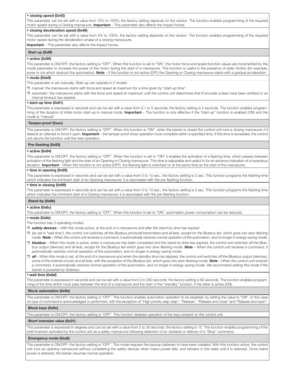#### • closing speed (0x43)

This parameter can be set with a value from 15% to 100%; the factory setting depends on the version. The function enables programming of the required motor speed during a Closing manoeuvre. Important - This parameter also affects the impact forces.

#### • closing deceleration speed (0x46)

This parameter can be set with a value from 5% to 100%; the factory setting depends on the version. The function enables programming of the required motor speed during the deceleration phase of a closing manoeuvre

Important – This parameter also affects the impact forces.

#### Start up (0x8f)

## $\bullet$  active (0x90)

This parameter is ON/OFF; the factory setting is "OFF". When this function is set to "ON", the motor force and speed function values are incremented by the mode parameter to increase the power of the motor during the start of a manoeuvre. This function is useful in the presence of static friction (for example, snow or ice which obstruct the automation). Note - If the function is not active (OFF) the Opening or Closing manoeuvre starts with a gradual acceleration.

#### $•$  mode (0xb0)

This parameter is set manually. Start-up can operate in 2 modes:

D manual: the manoeuvre starts with force and speed at maximum for a time given by "start-up time".

U *automatic*: the manoeuvre starts with the force and speed at maximum until the control unit determines that 6 encoder pulses have been emitted or an internal timeout has expired

#### • start-up time (0x91)

This parameter is expressed in seconds and can be set with a value from 0.1 to 5 seconds; the factory setting is 2 seconds. The function enables programming of the duration of initial motor start-up in manual mode. Important – The function is only effective if the "start-up" function is enabled (ON) and the mode is "manual"

#### Tamper-proof (0xec)

This parameter is ON/OFF; the factory setting is "OFF". When this function is "ON", when the barrier is closed the control unit runs a closing manoeuvre if it detects an attempt to force it open. Important - the tamper-proof close operation must complete within a specified time. If this time is exceeded, the control unit aborts the function until the next operation

#### Pre-flashing (0x93)

#### • active  $(0x94)$

This parameter is ON/OFF; the factory setting is "OFF". When this function is set to "ON" it enables the activation of a flashing time, which passes between activation of the flashing light and the start of an Opening or Closing manoeuvre. This time is adjustable and useful to for an advance indication of a hazardous situation. Important - When this function is not active (OFF), the flashing light is switched on at the same time as the start of the manoeuvre.

#### • time in opening (0x95)

This parameter is expressed in seconds and can be set with a value from 0 to 10 sec.; the factory setting is 3 sec. This function programs the flashing time which indicates the imminent start of an Opening manoeuvre: it is associated with the pre-flashing function

#### • time in closing (0x99)

This parameter is expressed in seconds and can be set with a value from 0 to 10 sec.; the factory setting is 3 sec. This function programs the flashing time which indicates the imminent start of a Closing manoeuvre: it is associated with the pre-flashing function.

#### Stand-by (0x8b)

#### $\bullet$  active (0x8c)

This parameter is ON/OFF; the factory setting is "OFF". When this function is set to "ON", automation power consumption can be reduced.

#### $•$  mode  $(0x8e)$

The function has 3 operating modes:

- U *safety devices With this mode active, at the end of a manoeuvre and after the stand-by time has expired*
- □ (as set in "wait time"), the control unit switches off the Bluebus photocell transmitters and all leds, except for the Bluebus led, which goes into slow flashing *mode. Note – When the control unit receives a command, it automatically restores normal operation of the automation, and no longer in energy saving mode.*
- U *bluebus When this mode is active, when a manoeuvre has been completed and the stand-by time has expired, the control unit switches off the Bluebus output (devices) and all leds, except for the Bluebus led which goes into slow flashing mode. Note - When the control unit receives a command, it automatically restores normal operation of the automation, and no longer in energy saving mode.*
- □ all When this mode is set, at the end of a manoeuvre and when the standby time has elapsed, the control unit switches off the Bluebus output (devices), some of the internal circuits and all leds, with the exception of the Bluebus led, which goes into slow flashing mode. Note – When the control unit receives *a command, it automatically restores normal operation of the automation, and no longer in energy saving mode. We recommend setting this mode if the barrier is powered by Solemyo.*

#### • wait time (0x8d)

This parameter is expressed in seconds and can be set with a value from 0 to 250 seconds; the factory setting is 60 seconds. The function enables programming of the time which must pass between the end of a manoeuvre and the start of the "standby" function, if the latter is active (ON).

#### Block automation (0x9a)

This parameter is ON/OFF; the factory setting is "OFF". This function enables automation operation to be disabled, by setting the value to "ON". In this case no type of command is acknowledged or performed, with the exception of "High priority step-step", "Release", "Release and close" and "Release and open".

#### Block keys (0x9c)

This parameter is ON/OFF; the factory setting is "OFF". This function disables operation of the keys present on the control unit.

#### Short inversion value (0x31)

This parameter is expressed in degrees and can be set with a value from 5 to 30 seconds; the factory setting is 15. This function enables programming of the brief inversion activated by the control unit as a safety manoeuvre following detection of an obstacle or delivery of a "Stop" command.

#### Emergency mode (0xa8)

This parameter is ON/OFF; the factory setting is "OFF". This mode requires the backup batteries to have been installed. With this function active, the control unit runs an opening manoeuvre without considering the safety devices when mains power fails, and remains in this state until it is restored Once mains power is restored, the barrier resumes normal operation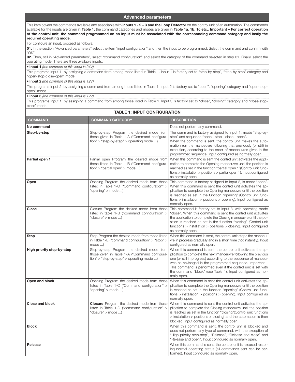#### Advanced parameters

This item covers the commands available and associable with *inputs 1 - 2-3 and the Loop Detector* on the control unit of an automation. The commands available for the inputs are given in Table 1; the command categories and modes are given in Table 1a, 1b, 1c etc.. Important - For correct operation of the control unit, the command programmed on an input must be associated with the corresponding command category and lastly the required operating mode.

For configure an input, proceed as follows:

01. In the section "Advanced parameters" select the item "input configuration" and then the input to be programmed. Select the command and confirm with  $"OK"$ .

02. Then, still in "Advanced parameters", select "command configuration" and select the category of the command selected in step 01. Finally, select the operating mode There are three available inputs:

• Input 1 *(the common of this input is 24V)*

This programs Input 1, by assigning a command from among those listed in Table 1. Input 1 is factory set to "step-by-step", "step-by-step" category and "open-stop-close-open" mode.

• Input 2 *(the common of this input is 12V)*

This programs Input 2, by assigning a command from among those listed in Table 1. Input 2 is factory set to "open", "opening" category and "open-stopopen" mode.

• Input 3 *(the common of this input is 12V)*

This programs Input 1, by assigning a command from among those listed in Table 1. Input 3 is factory set to "close", "closing" category and "close-stopclose" mode.

## TABLE 1: INPUT CONFIGURATION

| ווטו ו                     |                                                                                                                                             |                                                                                                                                                                                                                                                                                                                                                                                                                  |  |
|----------------------------|---------------------------------------------------------------------------------------------------------------------------------------------|------------------------------------------------------------------------------------------------------------------------------------------------------------------------------------------------------------------------------------------------------------------------------------------------------------------------------------------------------------------------------------------------------------------|--|
| <b>COMMAND</b>             | <b>COMMAND CATEGORY</b>                                                                                                                     | <b>DESCRIPTION</b>                                                                                                                                                                                                                                                                                                                                                                                               |  |
| No command                 |                                                                                                                                             | Does not perform any command.                                                                                                                                                                                                                                                                                                                                                                                    |  |
| Step-by-step               | Step-by-step Program the desired mode from<br>those given in Table 1-A ("Command configura-<br>$tion$ " > "step-by-step" > operating mode ) | The command is factory assigned to lnput 1, mode "step-by-<br>step" and sequence "open - stop - close - open".<br>When the command is sent, the control unit makes the auto-<br>mation run the manoeuvre following that previously (or still) in<br>execution, according to the order of manoeuvres given in the<br>programmed sequence. Input configured as normally open.                                      |  |
| Partial open 1             | Partial open Program the desired mode from<br>those listed in Table 1-B ("Command configura-<br>tion" > "partial open" > mode               | When this command is sent the control unit activates the appli-<br>cation to complete the Opening manoeuvre until the position is<br>reached as set in the function "partial open 1" (Control unit func-<br>$tions$ > installation > positions > partial open 1). Input configured<br>as normally open.                                                                                                          |  |
| Open                       | Opening Program the desired mode form those<br>listed in Table 1-C ("Command configuration" ><br>"opening" $>$ mode )                       | This command is factory assigned to lnput 2, in mode "open".<br>When this command is sent the control unit activates the ap-<br>plication to complete the Opening manoeuvre until the position<br>is reached as set in the function "opening" (Control unit func-<br>$tions$ > installation > positions > opening). Input configured as<br>normally open.                                                        |  |
| <b>Close</b>               | Closure Program the desired mode from those<br>listed in table 1-B ("command configuration" ><br>"closure" > mode )                         | This command is factory set to Input 3, with operating mode<br>"close". When this command is sent the control unit activates<br>the application to complete the Closing manoeuvre until the po-<br>sition is reached as set in the function "closing" (Control unit<br>functions > installation > positions > closing). Input configured<br>as normally open.                                                    |  |
| <b>Stop</b>                | Stop Program the desired mode from those listed<br>in Table 1-E ("command configuration" $>$ "stop" $>$<br>$mode$ $)$                       | When this command is sent, the control unit stops the manoeu-<br>vre in progress gradually and in a short time (not instantly). Input<br>configured as normally open.                                                                                                                                                                                                                                            |  |
| High priority step-by-step | Step-by-step Program the desired mode from<br>those given in Table 1-A ("Command configura-<br>$tion$ " > "step-by-step" > operating mode ) | When this command is sent, the control unit activates the ap-<br>plication to complete the next manoeuvre following the previous<br>one (or still in progress) according to the sequence of manoeu-<br>vres as envisaged in the programmed sequence. Important -<br>This command is performed even if the control unit is set with<br>the command "block" (see Table 1). Input configured as nor-<br>mally open. |  |
| Open and block             | Opening Program the desired mode form those<br>listed in Table 1-C ("Command configuration" ><br>"opening" $>$ mode )                       | When this command is sent the control unit activates the ap-<br>plication to complete the Opening manoeuvre until the position<br>is reached as set in the function "opening" (Control unit func-<br>$tions$ > installation > positions > opening). Input configured as<br>normally open.                                                                                                                        |  |
| <b>Close and block</b>     | <b>Closure</b> Program the desired mode from those<br>listed in Table 1-D ("command configuration" ><br>"closure" > mode )                  | When this command is sent the control unit activates the ap-<br>plication to complete the Closing manoeuvre until the position<br>is reached as set in the function "closing" (Control unit functions<br>$>$ installation $>$ positions $>$ closing) and the automation is then<br>blocked. Input configured as normally open.                                                                                   |  |
| <b>Block</b>               |                                                                                                                                             | When this command is sent, the control unit is blocked and<br>does not perform any type of command, with the exception of<br>"High priority step-step", "Release", "Release and close" and<br>"Release and open". Input configured as normally open.                                                                                                                                                             |  |
| Release                    |                                                                                                                                             | When this command is sent, the control unit is released restor-<br>ing normal operating status (all commands sent can be per-<br>formed). Input configured as normally open.                                                                                                                                                                                                                                     |  |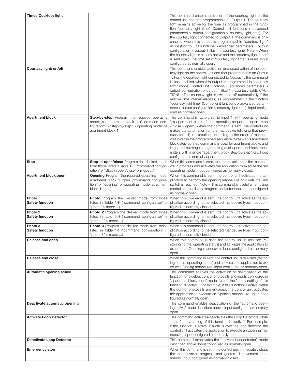| <b>Timed Courtesy light</b>     |                                                                             | This command enables activation of the courtesy light on the                                                                                                                     |
|---------------------------------|-----------------------------------------------------------------------------|----------------------------------------------------------------------------------------------------------------------------------------------------------------------------------|
|                                 |                                                                             | control unit and that programmable on Output 1. The courtesy                                                                                                                     |
|                                 |                                                                             | light remains active for the time as programmed in the func-                                                                                                                     |
|                                 |                                                                             | tion "courtesy light time" (Control unit functions > advanced<br>parameters > output configuration > courtesy light time). For                                                   |
|                                 |                                                                             | the courtesy light connected to Output 1, the command is only                                                                                                                    |
|                                 |                                                                             | enabled when this output is programmed in "courtesy light"                                                                                                                       |
|                                 |                                                                             | mode (Control unit functions > advanced parameters > output                                                                                                                      |
|                                 |                                                                             | configuration > output 1 (flash) > courtesy light). Note - When                                                                                                                  |
|                                 |                                                                             | the courtesy light is already active and the "courtesy light timer"                                                                                                              |
|                                 |                                                                             | is sent again, the time set in "courtesy light time" is reset. Input                                                                                                             |
|                                 |                                                                             | configured as normally open.<br>This command enables activation and deactivation of the cour-                                                                                    |
| Courtesy light: on/off          |                                                                             | tesy light on the control unit and that programmable on Output                                                                                                                   |
|                                 |                                                                             | 1. For the courtesy light connected to Output 1, the command                                                                                                                     |
|                                 |                                                                             | is only enabled when this output is programmed in "courtesy"                                                                                                                     |
|                                 |                                                                             | light" mode (Control unit functions $>$ advanced parameters $>$                                                                                                                  |
|                                 |                                                                             | output configuration > output 1 (flash) > courtesy light). CAU-                                                                                                                  |
|                                 |                                                                             | TION! – The courtesy light is switched off automatically if the<br>relative time interval elapses, as programmed in the function                                                 |
|                                 |                                                                             | "courtesy light time" (Control unit functions > advanced param-                                                                                                                  |
|                                 |                                                                             | eters > output configuration > courtesy light time). Input config-                                                                                                               |
|                                 |                                                                             | ured as normally open.                                                                                                                                                           |
| <b>Apartment block</b>          | Step-by-step Program the required operating                                 | This command is factory set to Input 1, with operating mode                                                                                                                      |
|                                 | mode, ss apartment block 1 ("command con-                                   | "ss apartment block 1" and operating sequence "open- stop                                                                                                                        |
|                                 | figuration" $>$ "step-by-step" $>$ operating mode: ss<br>apartment block 1) | - close - open". When the command is sent, the control unit<br>makes the automation run the manoeuvre following that previ-                                                      |
|                                 |                                                                             | ously (or still) in execution, according to the order of manoeu-                                                                                                                 |
|                                 |                                                                             | vres given in the programmed sequence. Note – This apartment                                                                                                                     |
|                                 |                                                                             | block step-by-step command is used for apartment blocks and                                                                                                                      |
|                                 |                                                                             | in general envisages programming of all apartment block trans-                                                                                                                   |
|                                 |                                                                             | mitters with a single "apartment block step-by-step" key. Input                                                                                                                  |
| Stop                            | Stop in open/close Program the desired mode                                 | configured as normally open.<br>When this command is sent, the control unit stops the manoeu-                                                                                    |
|                                 | from those listed in Table 1-L ("command configu-                           | vre in progress and activates the application to execute the set                                                                                                                 |
|                                 | ration" > "Stop in open/close" > mode )                                     | operating mode. Input configured as normally closed.                                                                                                                             |
| Apartment block open            | <b>Opening</b> Program the required operating mode,                         | When this command is sent, the control unit activates the ap-                                                                                                                    |
|                                 | apartment block 1 open ("command configura-                                 | plication to perform the opening manoeuvre only until the limit                                                                                                                  |
|                                 | $tion'' > "opening" > operating mode apartment$                             | switch is reached. Note – This command is useful when using                                                                                                                      |
|                                 | block 1 open)                                                               | control photocells or a magnetic detector loop. Input configured<br>as normally open.                                                                                            |
| Photo                           | <b>Photo</b> Program the desired mode from those                            | When this command is sent, the control unit activates the ap-                                                                                                                    |
| <b>Safety function</b>          | listed in Table 1-F ("command configuration" >                              | plication according to the selected manoeuvre type. Input con-                                                                                                                   |
|                                 | "photo" > mode )                                                            | figured as normally closed.                                                                                                                                                      |
| Photo <sub>2</sub>              | <b>Photo 2</b> Program the desired mode from those                          | When this command is sent, the control unit activates the ap-                                                                                                                    |
| <b>Safety function</b>          | listed in table 1-H ("command configuration" >                              | plication according to the selected manoeuvre type. Input con-                                                                                                                   |
|                                 | "photo 2" > mode )                                                          | figured as normally closed.                                                                                                                                                      |
| Photo 3<br>Safety function      | <b>Photo 3</b> Program the desired mode from those                          | When this command is sent, the control unit activates the ap-<br>listed in table 1-I ("command configuration" $>$ plication according to the selected manoeuvre type. Input con- |
|                                 | "photo $3"$ > mode )                                                        | figured as normally closed.                                                                                                                                                      |
| Release and open                |                                                                             | When this command is sent, the control unit is released (re-                                                                                                                     |
|                                 |                                                                             | storing normal operating status) and activates the application to                                                                                                                |
|                                 |                                                                             | execute an Opening manoeuvre. Input configured as normally                                                                                                                       |
|                                 |                                                                             | open.                                                                                                                                                                            |
| Release and close               |                                                                             | When this command is sent, the control unit is released (restor-<br>ing normal operating status) and activates the application to ex-                                            |
|                                 |                                                                             | ecute a Closing manoeuvre. Input configured as normally open.                                                                                                                    |
| Automatic opening active        |                                                                             | This command enables the activation or deactivation of the                                                                                                                       |
|                                 |                                                                             | function for bluebus control photocells and inputs configured in                                                                                                                 |
|                                 |                                                                             | "apartment block open" mode. Note - the factory setting of this                                                                                                                  |
|                                 |                                                                             | function is "active". For example, if this function is active, when                                                                                                              |
|                                 |                                                                             | the control photocells are engaged, the control unit activates<br>the application to execute an Opening manoeuvre. Input con-                                                    |
|                                 |                                                                             | figured as normally open.                                                                                                                                                        |
| Deactivate automatic opening    |                                                                             | This command enables deactivation of the "automatic open-                                                                                                                        |
|                                 |                                                                             | ing active" mode described above. Input configured as normally                                                                                                                   |
|                                 |                                                                             | open.                                                                                                                                                                            |
| <b>Activate Loop Detector</b>   |                                                                             | This command activates/deactivates the Loop Detectors. Note                                                                                                                      |
|                                 |                                                                             | - the factory setting of this function is "active". For example,                                                                                                                 |
|                                 |                                                                             | if this function is active, if a car is over the loop detector, the<br>control unit activates the application to execute an Opening ma-                                          |
|                                 |                                                                             | noeuvre. Input configured as normally open.                                                                                                                                      |
| <b>Deactivate Loop Detector</b> |                                                                             | This command deactivates the "activate loop detector" mode                                                                                                                       |
|                                 |                                                                             | described above. Input configured as normally open.                                                                                                                              |
| <b>Emergency stop</b>           |                                                                             | When this command is sent, the control unit immediately stops                                                                                                                    |
|                                 |                                                                             | the manoeuvre in progress, and ignores all movement com-                                                                                                                         |
|                                 |                                                                             | mands. Input configured as normally closed.                                                                                                                                      |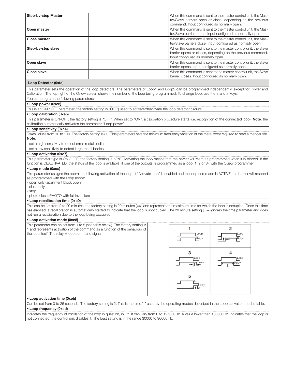| <b>Step-by-step Master</b>                                                                                                                                                                                                                                                                                                                   |  |  |                                                    | When this command is sent to the master control unit, the Mas-                                                                 |  |
|----------------------------------------------------------------------------------------------------------------------------------------------------------------------------------------------------------------------------------------------------------------------------------------------------------------------------------------------|--|--|----------------------------------------------------|--------------------------------------------------------------------------------------------------------------------------------|--|
|                                                                                                                                                                                                                                                                                                                                              |  |  | command. Input configured as normally open.        | ter/Slave barriers open or close, depending on the previous                                                                    |  |
| Open master                                                                                                                                                                                                                                                                                                                                  |  |  |                                                    | When this command is sent to the master control unit, the Mas-<br>ter/Slave barriers open. Input configured as normally open.  |  |
| <b>Close master</b>                                                                                                                                                                                                                                                                                                                          |  |  |                                                    | When this command is sent to the master control unit, the Mas-<br>ter/Slave barriers close. Input configured as normally open. |  |
| Step-by-step slave                                                                                                                                                                                                                                                                                                                           |  |  | Input configured as normally open.                 | When this command is sent to the master control unit, the Slave<br>barrier opens or closes, depending on the previous command. |  |
| Open slave                                                                                                                                                                                                                                                                                                                                   |  |  | barrier opens. Input configured as normally open.  | When this command is sent to the master control unit, the Slave                                                                |  |
| Close slave                                                                                                                                                                                                                                                                                                                                  |  |  | barrier closes. Input configured as normally open. | When this command is sent to the master control unit, the Slave                                                                |  |
| Loop Detector (0xfd)                                                                                                                                                                                                                                                                                                                         |  |  |                                                    |                                                                                                                                |  |
| This parameter sets the operation of the loop detectors. The parameters of Loop1 and Loop2 can be programmed independently, except for Power and<br>Calibration. The top right of the Oview screen shows the number of the loop being programmed. To change loop, use the < and > keys.                                                      |  |  |                                                    |                                                                                                                                |  |
| You can program the following parameters:                                                                                                                                                                                                                                                                                                    |  |  |                                                    |                                                                                                                                |  |
| • Loop power (0xe6)                                                                                                                                                                                                                                                                                                                          |  |  |                                                    |                                                                                                                                |  |
| This is an ON / OFF parameter (the factory setting is "OFF") used to activate/deactivate the loop detector circuits                                                                                                                                                                                                                          |  |  |                                                    |                                                                                                                                |  |
| • Loop calibration (0xe5)<br>This parameter is ON/OFF; the factory setting is "OFF". When set to "ON", a calibration procedure starts (i.e. recognition of the connected loop). Note: the                                                                                                                                                    |  |  |                                                    |                                                                                                                                |  |
| calibration automatically activates the parameter "Loop power"                                                                                                                                                                                                                                                                               |  |  |                                                    |                                                                                                                                |  |
| • Loop sensitivity (0xe4)                                                                                                                                                                                                                                                                                                                    |  |  |                                                    |                                                                                                                                |  |
| Takes values from 10 to 100. The factory setting is 80. This parameters sets the minimum frequency variation of the metal body required to start a manoeuvre.                                                                                                                                                                                |  |  |                                                    |                                                                                                                                |  |
| Note:<br>- set a high sensitivity to detect small metal bodies                                                                                                                                                                                                                                                                               |  |  |                                                    |                                                                                                                                |  |
| - set a low sensitivity to detect large metal bodies                                                                                                                                                                                                                                                                                         |  |  |                                                    |                                                                                                                                |  |
| • Loop activation (0xe7)                                                                                                                                                                                                                                                                                                                     |  |  |                                                    |                                                                                                                                |  |
| This parameter type is ON / OFF; the factory setting is "ON". Activating the loop means that the barrier will react as programmed when it is tripped. If the                                                                                                                                                                                 |  |  |                                                    |                                                                                                                                |  |
| function is DEACTIVATED, the status of the loop is available, if one of the outputs is programmed as a loop (1, 2 or 3), with the Oview programmer.                                                                                                                                                                                          |  |  |                                                    |                                                                                                                                |  |
| • Loop mode (0xea)<br>This parameter assigns the operation following activation of the loop. If "Activate loop" is enabled and the loop command is ACTIVE, the barrier will respond<br>as programmed with the Loop mode:                                                                                                                     |  |  |                                                    |                                                                                                                                |  |
| - open only (apartment block open)<br>- close only                                                                                                                                                                                                                                                                                           |  |  |                                                    |                                                                                                                                |  |
| - stop<br>- photo close (PHOTO with full inversion)                                                                                                                                                                                                                                                                                          |  |  |                                                    |                                                                                                                                |  |
| • Loop recalibration time (0xe9)                                                                                                                                                                                                                                                                                                             |  |  |                                                    |                                                                                                                                |  |
| This can be set from 2 to 20 minutes, the factory setting is 20 minutes $(=\infty)$ and represents the maximum time for which the loop is occupied. Once this time<br>has elapsed, a recalibration is automatically started to indicate that the loop is unoccupied. The 20 minute setting (= $\infty$ ) ignores the time parameter and does |  |  |                                                    |                                                                                                                                |  |
| not run a recalibration due to the loop being occupied.<br>• Loop activation mode (0xe8)                                                                                                                                                                                                                                                     |  |  |                                                    |                                                                                                                                |  |
| This parameter can be set from 1 to 5 (see table below). The factory setting is                                                                                                                                                                                                                                                              |  |  |                                                    |                                                                                                                                |  |
| 1 and represents activation of the command as a function of the behaviour of<br>the loop itself. The relay = loop command signal.                                                                                                                                                                                                            |  |  | м<br>Loop<br>Relay                                 | o<br>Loop<br>Relay                                                                                                             |  |
|                                                                                                                                                                                                                                                                                                                                              |  |  | з<br>LOOD                                          | Loop                                                                                                                           |  |
|                                                                                                                                                                                                                                                                                                                                              |  |  | Relay                                              |                                                                                                                                |  |
|                                                                                                                                                                                                                                                                                                                                              |  |  | 5<br>Relay                                         |                                                                                                                                |  |
| • Loop activation time (0xeb)                                                                                                                                                                                                                                                                                                                |  |  |                                                    |                                                                                                                                |  |
| Can be set from 0 to 25 seconds. The factory setting is 2. This is the time "t" used by the operating modes described in the Loop activation modes table.                                                                                                                                                                                    |  |  |                                                    |                                                                                                                                |  |
| • Loop frequency (0xed)                                                                                                                                                                                                                                                                                                                      |  |  |                                                    |                                                                                                                                |  |
| Indicates the frequency of oscillation of the loop in question, in Hz. It can vary from 0 to 127000Hz. A value lower than 100000Hz indicates that the loop is<br>not connected; the control unit disables it. The best setting is in the range 30000 to 90000 Hz.                                                                            |  |  |                                                    |                                                                                                                                |  |
|                                                                                                                                                                                                                                                                                                                                              |  |  |                                                    |                                                                                                                                |  |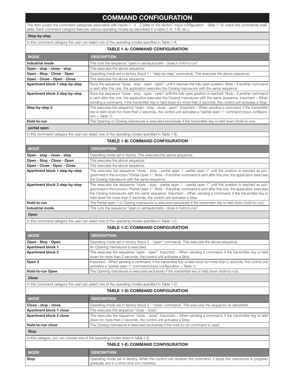# COMMAND CONFIGURATION

This item covers the command categories associable with inputs 1 - 2 - 3 (refer to the section "input configuration - Table 1" to check the commands available). Each command category features various operating modes as described in a table (1-A, 1-B, etc.):

#### Step-by-step

In this command category the user can select one of the operating modes specified in Table 1-A.

| <b>TABLE 1-A: COMMAND CONFIGURATION</b> |                                                                                                                                                                                                                                                                                                                                                             |  |
|-----------------------------------------|-------------------------------------------------------------------------------------------------------------------------------------------------------------------------------------------------------------------------------------------------------------------------------------------------------------------------------------------------------------|--|
| <b>MODE</b>                             | <b>DESCRIPTION</b>                                                                                                                                                                                                                                                                                                                                          |  |
| Industrial mode                         | This runs the sequence "open in semiautomatic- close in hold-to-run".                                                                                                                                                                                                                                                                                       |  |
| Open - stop - close - stop              | This executes the above sequence.                                                                                                                                                                                                                                                                                                                           |  |
| Open - Stop - Close - Open              | Operating mode set in factory (Input 1 - "step-by-step" command). This executes the above sequence.                                                                                                                                                                                                                                                         |  |
| Open - Close - Open - Close             | This executes the above sequence.                                                                                                                                                                                                                                                                                                                           |  |
| Apartment block 1 step-by-step          | Runs the sequence "close - stop - open - open", until it reaches the fully open position. Note - If another command<br>is sent after this one, the application executes the Closing manoeuvre with the same sequence.                                                                                                                                       |  |
| Apartment block 2 step-by-step          | Runs the sequence "close - stop - open - open" until the fully open position is reached. Note – If another command<br>is sent after this one, the application executes the Closing manoeuvre with the same sequence. Important – When<br>sending a command, if the transmitter key is held down for more than 2 seconds, the control unit activates a Stop. |  |
| Step-by-step 2                          | This executes the sequence "open - stop - close - open". Important - When sending a command, if the transmitter<br>key is held down for more than 2 seconds, the control unit activates a "partial open 1" command (input configura-<br>$tion$ > Table 1).                                                                                                  |  |
| Hold-to-run                             | The Opening or Closing manoeuvre is executed exclusively if the transmitter key is held down (hold-to-run).                                                                                                                                                                                                                                                 |  |
| المتحامي المتشمس                        |                                                                                                                                                                                                                                                                                                                                                             |  |

#### partial open

In this command category the user can select one of the operating modes specified in Table 1-B.

#### TABLE 1-B: COMMAND CONFIGURATION

| <b>MODE</b>                    | <b>DESCRIPTION</b>                                                                                                                                                                                                                                                                                                                                                                                                                |
|--------------------------------|-----------------------------------------------------------------------------------------------------------------------------------------------------------------------------------------------------------------------------------------------------------------------------------------------------------------------------------------------------------------------------------------------------------------------------------|
| Open - stop - close - stop     | Operating mode set in factory. This executes the above sequence.                                                                                                                                                                                                                                                                                                                                                                  |
| Open - Stop - Close - Open     | This executes the above sequence.                                                                                                                                                                                                                                                                                                                                                                                                 |
| Open - Close - Open - Close    | This executes the above sequence.                                                                                                                                                                                                                                                                                                                                                                                                 |
| Apartment block 1 step-by-step | This executes the sequence "close - stop - partial open 1- partial open 1" until the position is reached as pro-<br>grammed in the function "Partial Open 1". Note – If another command is sent after this one, the application executes<br>the Closing manoeuvre with the same sequence.                                                                                                                                         |
| Apartment block 2 step-by-step | This executes the sequence "close - stop - partial open 1 - partial open 1" until the position is reached as pro-<br>grammed in the function "Partial Open 1". Note – If another command is sent after this one, the application executes<br>the Closing manoeuvre with the same sequence. Important – When sending a command, if the transmitter key is<br>held down for more than 2 seconds, the control unit activates a Stop. |
| Hold-to-run                    | The Partial open 1 or Closing manoeuvre is executed exclusively if the transmitter key is held down (hold-to-run).                                                                                                                                                                                                                                                                                                                |
| Industrial mode                | This runs the sequence "open in semiautomatic- close in hold-to-run".                                                                                                                                                                                                                                                                                                                                                             |
| $\sim$ $\sim$                  |                                                                                                                                                                                                                                                                                                                                                                                                                                   |

#### Open

In this command category the user can select one of the operating modes specified in Table 1-C.

#### TABLE 1-C: COMMAND CONFIGURATION

| <b>MODE</b>                                                                                     | <b>DESCRIPTION</b>                                                                                                                                                                         |  |
|-------------------------------------------------------------------------------------------------|--------------------------------------------------------------------------------------------------------------------------------------------------------------------------------------------|--|
| Open - Stop - Open                                                                              | Operating mode set in factory (Input 2 - "open" command). This executes the above sequence.                                                                                                |  |
| Apartment block 1                                                                               | An Opening manoeuvre is executed.                                                                                                                                                          |  |
| <b>Apartment block 2</b>                                                                        | This executes the sequence "open - open". Important – When sending a command, if the transmitter key is held<br>down for more than 2 seconds, the control unit activates a Stop.           |  |
| Open 2                                                                                          | Important – When sending a command, if the transmitter key is held down for more than 2 seconds, the control unit<br>activates a "partial open 1" command (input configuration > Table 1). |  |
| Hold-to-run Open                                                                                | The Opening manoeuvre is executed exclusively if the transmitter key is held down (hold-to-run).                                                                                           |  |
| <b>Close</b>                                                                                    |                                                                                                                                                                                            |  |
| In this command category the user can select one of the operating modes specified in Table 1-D. |                                                                                                                                                                                            |  |
| <b>TABLE 1-D: COMMAND CONFIGURATION</b>                                                         |                                                                                                                                                                                            |  |
| <b>MODE</b>                                                                                     | <b>DESCRIPTION</b>                                                                                                                                                                         |  |

| I MODE.                                                                          | <b>DESCRIPTION</b>                                                                                                                                                                 |  |
|----------------------------------------------------------------------------------|------------------------------------------------------------------------------------------------------------------------------------------------------------------------------------|--|
| Close - stop - close                                                             | Operating mode set in factory (Input 3 - "close" command). This executes the sequence as described.                                                                                |  |
| Apartment block 1 close                                                          | This executes the sequence "close - close".                                                                                                                                        |  |
| Apartment block 2 close                                                          | This executes the sequence "close - close". Important – When sending a command, if the transmitter key is held<br>down for more than 2 seconds, the control unit activates a Stop. |  |
| Hold-to-run close                                                                | The Closing manoeuvre is executed exclusively if the hold-to-run command is used.                                                                                                  |  |
| <b>Stop</b>                                                                      |                                                                                                                                                                                    |  |
| In this category, you can choose one of the operating modes listed in table 1-E. |                                                                                                                                                                                    |  |
| <b>TABLE 1-E: COMMAND CONFIGURATION</b>                                          |                                                                                                                                                                                    |  |
| <b>MODE</b>                                                                      | <b>DESCRIPTION</b>                                                                                                                                                                 |  |
| Stop                                                                             | Operating mode set in factory. When the control unit receives the command, it stops the manoeuvre in progress                                                                      |  |

gradually and in a short time (not instantly).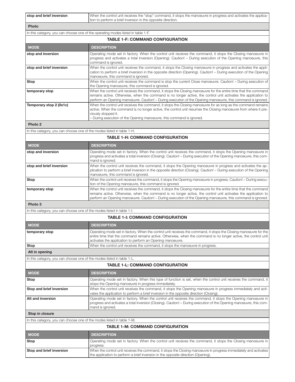| stop and brief inversion                                               | When the control unit receives the "stop" command, it stops the manoeuvre in progress and activates the applica-<br>tion to perform a brief inversion in the opposite direction.                                                                                                                                                                  |  |
|------------------------------------------------------------------------|---------------------------------------------------------------------------------------------------------------------------------------------------------------------------------------------------------------------------------------------------------------------------------------------------------------------------------------------------|--|
| Photo                                                                  |                                                                                                                                                                                                                                                                                                                                                   |  |
|                                                                        | In this category, you can choose one of the operating modes listed in table 1-F.                                                                                                                                                                                                                                                                  |  |
| <b>TABLE 1-F: COMMAND CONFIGURATION</b>                                |                                                                                                                                                                                                                                                                                                                                                   |  |
| <b>MODE</b>                                                            | <b>DESCRIPTION</b>                                                                                                                                                                                                                                                                                                                                |  |
| stop and inversion                                                     | Operating mode set in factory. When the control unit receives the command, it stops the Closing manoeuvre in<br>progress and activates a total inversion (Opening). Caution! - During execution of the Opening manoeuvre, this<br>command is ignored.                                                                                             |  |
| stop and brief inversion                                               | When the control unit receives the command, it stops the Closing manoeuvre in progress and activates the appli-<br>cation to perform a brief inversion in the opposite direction (Opening). Caution! - During execution of the Opening<br>manoeuvre, this command is ignored.                                                                     |  |
| Stop                                                                   | When the control unit receives the command is stop the current Close manoeuvre. Caution! - During execution of<br>the Opening manoeuvre, this command is ignored.                                                                                                                                                                                 |  |
| temporary stop                                                         | When the control unit receives the command, it stops the Closing manoeuvre for the entire time that the command<br>remains active. Otherwise, when the command is no longer active, the control unit activates the application to<br>perform an Opening manoeuvre. Caution! - During execution of the Opening manoeuvre, this command is ignored. |  |
| Temporary stop 2 (0x1c)                                                | When the control unit receives the command, it stops the Closing manoeuvre for as long as the command remains<br>active. When the command is no longer active, the control unit resumes the Closing manoeuvre from where it pre-<br>viously stopped it.<br>- During execution of the Opening manoeuvre, this command is ignored.                  |  |
| Photo <sub>2</sub>                                                     |                                                                                                                                                                                                                                                                                                                                                   |  |
| In this category, you can choose one of the modes listed in table 1-H. |                                                                                                                                                                                                                                                                                                                                                   |  |
|                                                                        | <b>TABLE 1-H: COMMAND CONFIGURATION</b>                                                                                                                                                                                                                                                                                                           |  |
| <b>MODE</b>                                                            | <b>DESCRIPTION</b>                                                                                                                                                                                                                                                                                                                                |  |
| stop and inversion                                                     | Operating mode set in factory. When the control unit receives the command, it stops the Opening manoeuvre in<br>progress and activates a total inversion (Closing). Caution! - During execution of the Opening manoeuvre, this com-<br>mand is ignored.                                                                                           |  |
| stop and brief inversion                                               | When the control unit receives the command, it stops the Opening manoeuvre in progress and activates the ap-<br>plication to perform a brief inversion in the opposite direction (Closing). Caution! - During execution of the Opening<br>manoeuvre, this command is ignored.                                                                     |  |
| <b>Stop</b>                                                            | When the control unit receives the command, it stops the Opening manoeuvre in progress. Caution! - During execu-<br>tion of the Opening manoeuvre, this command is ignored.                                                                                                                                                                       |  |
| temporary stop                                                         | When the control unit receives the command, it stops the Closing manoeuvre for the entire time that the command<br>remains active. Otherwise, when the command is no longer active, the control unit activates the application to<br>perform an Opening manoeuvre. Caution! - During execution of the Opening manoeuvre, this command is ignored. |  |
| Photo <sub>3</sub>                                                     |                                                                                                                                                                                                                                                                                                                                                   |  |
| In this category, you can choose one of the modes listed in table 1-I. |                                                                                                                                                                                                                                                                                                                                                   |  |
|                                                                        | <b>TABLE 1-I: COMMAND CONFIGURATION</b>                                                                                                                                                                                                                                                                                                           |  |
| <b>MODE</b>                                                            | <b>DESCRIPTION</b>                                                                                                                                                                                                                                                                                                                                |  |
| temporary stop                                                         | Operating mode set in factory. When the control unit receives the command, it stops the Closing manoeuvre for the<br>entire time that the command remains active. Otherwise, when the command is no longer active, the control unit<br>activates the application to perform an Opening manoeuvre.                                                 |  |
| Stop                                                                   | When the control unit receives the command, it stops the manoeuvre in progress.                                                                                                                                                                                                                                                                   |  |
| Alt in opening                                                         |                                                                                                                                                                                                                                                                                                                                                   |  |
| In this category, you can choose one of the modes listed in table 1-L. |                                                                                                                                                                                                                                                                                                                                                   |  |
|                                                                        | <b>TABLE 1-L: COMMAND CONFIGURATION</b>                                                                                                                                                                                                                                                                                                           |  |
| <b>MODE</b>                                                            | <b>DESCRIPTION</b>                                                                                                                                                                                                                                                                                                                                |  |
| Stop                                                                   | Operating mode set in factory. When this type of function is set, when the control unit receives the command, it<br>stops the Opening manoeuvre in progress immediately.                                                                                                                                                                          |  |
| Stop and brief inversion                                               | When the control unit receives the command, it stops the Opening manoeuvre in progress immediately and acti-<br>vates the application to perform a brief inversion in the opposite direction (Closing).                                                                                                                                           |  |
| Alt and inversion                                                      | Operating mode set in factory. When the control unit receives the command, it stops the Opening manoeuvre in<br>progress and activates a total inversion (Closing). Caution! – During execution of the Opening manoeuvre, this com-<br>mand is ignored.                                                                                           |  |
| Stop in closure                                                        |                                                                                                                                                                                                                                                                                                                                                   |  |
| In this category, you can choose one of the modes listed in table 1-M. |                                                                                                                                                                                                                                                                                                                                                   |  |
|                                                                        | <b>TABLE 1-M: COMMAND CONFIGURATION</b>                                                                                                                                                                                                                                                                                                           |  |
| <b>MODE</b>                                                            | <b>DESCRIPTION</b>                                                                                                                                                                                                                                                                                                                                |  |
| Stop                                                                   | Operating mode set in factory. When the control unit receives the command, it stops the Closing manoeuvre in<br>progress.                                                                                                                                                                                                                         |  |
| Stop and brief inversion                                               | When the control unit receives the command, it stops the Closing manoeuvre in progress immediately and activates<br>the application to perform a brief inversion in the opposite direction (Opening).                                                                                                                                             |  |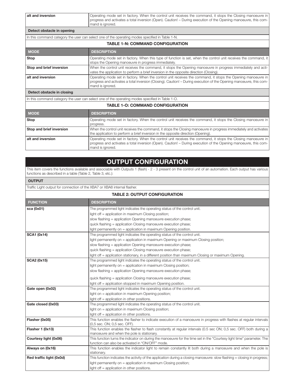| alt and inversion                                                                               | Operating mode set in factory. When the control unit receives the command, it stops the Closing manoeuvre in<br>  progress and activates a total inversion (Open). Caution! - During execution of the Opening manoeuvre, this com-<br>mand is ignored. |
|-------------------------------------------------------------------------------------------------|--------------------------------------------------------------------------------------------------------------------------------------------------------------------------------------------------------------------------------------------------------|
| Detect obstacle in opening                                                                      |                                                                                                                                                                                                                                                        |
| In this command category the user can select one of the operating modes specified in Table 1-N. |                                                                                                                                                                                                                                                        |

| <b>TABLE 1-N: COMMAND CONFIGURATION</b> |                                                                                                                                                                                                                                                         |  |
|-----------------------------------------|---------------------------------------------------------------------------------------------------------------------------------------------------------------------------------------------------------------------------------------------------------|--|
| <b>MODE</b>                             | <b>DESCRIPTION</b>                                                                                                                                                                                                                                      |  |
| Stop                                    | Operating mode set in factory. When this type of function is set, when the control unit receives the command, it<br>stops the Opening manoeuvre in progress immediately.                                                                                |  |
| Stop and brief inversion                | When the control unit receives the command, it stops the Opening manoeuvre in progress immediately and acti-<br>vates the application to perform a brief inversion in the opposite direction (Closing).                                                 |  |
| $\sf l$ alt and inversion               | Operating mode set in factory. When the control unit receives the command, it stops the Opening manoeuvre in<br>progress and activates a total inversion (Closing). Caution! – During execution of the Opening manoeuvre, this com-<br>mand is ignored. |  |
|                                         |                                                                                                                                                                                                                                                         |  |

Detect obstacle in closing

In this command category the user can select one of the operating modes specified in Table 1-O.

#### TABLE 1-O: COMMAND CONFIGURATION

| <b>MODE</b>              | <b>DESCRIPTION</b>                                                                                                                                                                                                                                     |
|--------------------------|--------------------------------------------------------------------------------------------------------------------------------------------------------------------------------------------------------------------------------------------------------|
| Stop                     | Operating mode set in factory. When the control unit receives the command, it stops the Closing manoeuvre in                                                                                                                                           |
|                          | progress.                                                                                                                                                                                                                                              |
| Stop and brief inversion | When the control unit receives the command, it stops the Closing manoeuvre in progress immediately and activates                                                                                                                                       |
|                          | the application to perform a brief inversion in the opposite direction (Opening).                                                                                                                                                                      |
| alt and inversion        | Operating mode set in factory. When the control unit receives the command, it stops the Closing manoeuvre in<br>  progress and activates a total inversion (Open). Caution! – During execution of the Opening manoeuvre, this com-<br>mand is ignored. |

# OUTPUT CONFIGURATION

This item covers the functions available and associable with Outputs 1 (flash) - 2 - 3 present on the control unit of an automation. Each output has various functions as described in a table (Table 2, Table 3, etc.):

Traffic Light output for connection of the XBA7 or XBA8 internal flasher.

| <b>TABLE 2: OUTPUT CONFIGURATION</b> |                                                                                                                                                      |
|--------------------------------------|------------------------------------------------------------------------------------------------------------------------------------------------------|
| <b>FUNCTION</b>                      | <b>DESCRIPTION</b>                                                                                                                                   |
| sca (0x01)                           | The programmed light indicates the operating status of the control unit.                                                                             |
|                                      | light off = application in maximum Closing position;                                                                                                 |
|                                      | slow flashing = application Opening manoeuvre execution phase;                                                                                       |
|                                      | quick flashing = application Closing manoeuvre execution phase;                                                                                      |
|                                      | light permanently on = application in maximum Opening position.                                                                                      |
| <b>SCA1 (0x14)</b>                   | The programmed light indicates the operating status of the control unit.                                                                             |
|                                      | light permanently on = application in maximum Opening or maximum Closing position;                                                                   |
|                                      | slow flashing = application Opening manoeuvre execution phase;                                                                                       |
|                                      | quick flashing = application Closing manoeuvre execution phase;                                                                                      |
|                                      | light off = application stationary, in a different position than maximum Closing or maximum Opening.                                                 |
| <b>SCA2 (0x15)</b>                   | The programmed light indicates the operating status of the control unit.                                                                             |
|                                      | light permanently on = application in maximum Closing position;                                                                                      |
|                                      | slow flashing = application Opening manoeuvre execution phase;                                                                                       |
|                                      | quick flashing = application Closing manoeuvre execution phase;                                                                                      |
|                                      | light off = application stopped in maximum Opening position.                                                                                         |
| Gate open (0x02)                     | The programmed light indicates the operating status of the control unit.                                                                             |
|                                      | light on = application in maximum Opening position;                                                                                                  |
|                                      | light off $=$ application in other positions.                                                                                                        |
| Gate closed (0x03)                   | The programmed light indicates the operating status of the control unit.                                                                             |
|                                      | light on = application in maximum Closing position;                                                                                                  |
|                                      | light off = application in other positions.                                                                                                          |
| Flasher (0x05)                       | This function enables the flasher to indicate execution of a manoeuvre in progress with flashes at regular intervals<br>(0,5 sec. ON; 0,5 sec. OFF). |
| <b>Flasher 1 (0x13)</b>              | This function enables the flasher to flash constantly at regular intervals (0.5 sec ON; 0,5 sec. OFF) both during a                                  |
|                                      | manoeuvre and when the pole is stationary.                                                                                                           |
| Courtesy light (0x06)                | This function turns the indicator on during the manoeuvre for the time set in the "Courtesy light time" parameter. The                               |
|                                      | function can also be activated in "ON/OFF" mode.                                                                                                     |
| Always on (0x16)                     | This function enables the indicator light to remain constantly lit both during a manoeuvre and when the pole is                                      |
|                                      | stationary.                                                                                                                                          |
| Red traffic light (0x0d)             | This function indicates the activity of the application during a closing manoeuvre: slow flashing = closing in progress;                             |
|                                      | light permanently on = application in maximum Closing position;                                                                                      |
|                                      | light off $=$ application in other positions.                                                                                                        |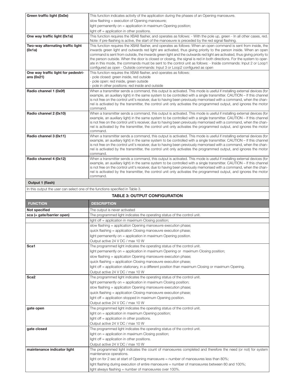| Green traffic light (0x0e)                                                 | This function indicates activity of the application during the phases of an Opening manoeuvre.                                                                                                                                                                                                                                                                                                                                                                                                                                                                                                                                                                                            |
|----------------------------------------------------------------------------|-------------------------------------------------------------------------------------------------------------------------------------------------------------------------------------------------------------------------------------------------------------------------------------------------------------------------------------------------------------------------------------------------------------------------------------------------------------------------------------------------------------------------------------------------------------------------------------------------------------------------------------------------------------------------------------------|
|                                                                            | slow flashing = execution of Opening manoeuvre;                                                                                                                                                                                                                                                                                                                                                                                                                                                                                                                                                                                                                                           |
|                                                                            | light permanently on = application in maximum Opening position;                                                                                                                                                                                                                                                                                                                                                                                                                                                                                                                                                                                                                           |
|                                                                            | light off = application in other positions.                                                                                                                                                                                                                                                                                                                                                                                                                                                                                                                                                                                                                                               |
| One way traffic light (0x1a)                                               | This function requires the XBA8 flasher, and operates as follows: - With the pole up, green - In all other cases, red.<br>Note: if pre-flashing is active, the start of the manoeuvre is preceded by the red signal flashing.                                                                                                                                                                                                                                                                                                                                                                                                                                                             |
| Two-way alternating traffic light<br>(0x1a)                                | This function requires the XBA8 flasher, and operates as follows: When an open command is sent from inside, the<br>inwards green light and outwards red light are activated, thus giving priority to the person inside. When an open<br>command is sent from outside, the inwards green light and the outwards red light are activated, thus giving priority to<br>the person outside. When the door is closed or closing, the signal is red in both directions. For the system to oper-<br>ate in this mode, the commands must be sent to the control unit as follows: - Inside commands: Input 2 or Loop1<br>configured as open - Outside commands: Input 3 or Loop2 configured as open |
| One way traffic light for pedestri-<br>ans $(0x21)$                        | This function requires the XBA8 flasher, and operates as follows:<br>- pole closed: green inside, red outside<br>- pole open: red inside, green outside<br>- pole in other positions: red inside and outside                                                                                                                                                                                                                                                                                                                                                                                                                                                                              |
| Radio channel 1 (0x0f)                                                     | When a transmitter sends a command, this output is activated. This mode is useful if installing external devices (for<br>example, an auxiliary light) in the same system to be controlled with a single transmitter. CAUTION – If this channel<br>is not free on the control unit's receiver, due to having been previously memorised with a command, when the chan-<br>nel is activated by the transmitter, the control unit only activates the programmed output, and ignores the motor<br>command.                                                                                                                                                                                     |
| Radio channel 2 (0x10)                                                     | When a transmitter sends a command, this output is activated. This mode is useful if installing external devices (for<br>example, an auxiliary light) in the same system to be controlled with a single transmitter. CAUTION – If this channel<br>is not free on the control unit's receiver, due to having been previously memorised with a command, when the chan-<br>nel is activated by the transmitter, the control unit only activates the programmed output, and ignores the motor<br>command.                                                                                                                                                                                     |
| Radio channel 3 (0x11)                                                     | When a transmitter sends a command, this output is activated. This mode is useful if installing external devices (for<br>example, an auxiliary light) in the same system to be controlled with a single transmitter. CAUTION – If this channel<br>is not free on the control unit's receiver, due to having been previously memorised with a command, when the chan-<br>nel is activated by the transmitter, the control unit only activates the programmed output, and ignores the motor<br>command.                                                                                                                                                                                     |
| Radio channel 4 (0x12)<br>$\sim$ $\sim$ $\sim$ $\sim$ $\sim$ $\sim$ $\sim$ | When a transmitter sends a command, this output is activated. This mode is useful if installing external devices (for<br>example, an auxiliary light) in the same system to be controlled with a single transmitter. CAUTION – If this channel<br>is not free on the control unit's receiver, due to having been previously memorised with a command, when the chan-<br>nel is activated by the transmitter, the control unit only activates the programmed output, and ignores the motor<br>command.                                                                                                                                                                                     |

#### Output 1 (flash)

In this output the user can select one of the functions specified in Table 3.

| <b>TABLE 3: OUTPUT CONFIGURATION</b> |                                                                                                                                        |
|--------------------------------------|----------------------------------------------------------------------------------------------------------------------------------------|
| <b>FUNCTION</b>                      | <b>DESCRIPTION</b>                                                                                                                     |
| Not specified                        | The output is never activated                                                                                                          |
| sca (= gate/barrier open)            | The programmed light indicates the operating status of the control unit.                                                               |
|                                      | light off = application in maximum Closing position;                                                                                   |
|                                      | slow flashing = application Opening manoeuvre execution phase;                                                                         |
|                                      | quick flashing = application Closing manoeuvre execution phase;                                                                        |
|                                      | light permanently on = application in maximum Opening position.                                                                        |
|                                      | Output active 24 V DC / max 10 W                                                                                                       |
| Sca1                                 | The programmed light indicates the operating status of the control unit.                                                               |
|                                      | light permanently on = application in maximum Opening or maximum Closing position;                                                     |
|                                      | slow flashing = application Opening manoeuvre execution phase;                                                                         |
|                                      | quick flashing = application Closing manoeuvre execution phase;                                                                        |
|                                      | light off = application stationary, in a different position than maximum Closing or maximum Opening.                                   |
|                                      | Output active 24 V DC / max 10 W                                                                                                       |
| Sca <sub>2</sub>                     | The programmed light indicates the operating status of the control unit.                                                               |
|                                      | light permanently on = application in maximum Closing position;                                                                        |
|                                      | slow flashing = application Opening manoeuvre execution phase;                                                                         |
|                                      | quick flashing = application Closing manoeuvre execution phase;                                                                        |
|                                      | light off = application stopped in maximum Opening position.                                                                           |
|                                      | Output active 24 V DC / max 10 W                                                                                                       |
| gate open                            | The programmed light indicates the operating status of the control unit.                                                               |
|                                      | light on = application in maximum Opening position;                                                                                    |
|                                      | light off = application in other positions.                                                                                            |
|                                      | Output active 24 V DC / max 10 W                                                                                                       |
| gate closed                          | The programmed light indicates the operating status of the control unit.                                                               |
|                                      | light on = application in maximum Closing position;                                                                                    |
|                                      | light off = application in other positions.                                                                                            |
|                                      | Output active 24 V DC / max 10 W                                                                                                       |
| maintenance indicator light          | The programmed light indicates the count of manoeuvres completed and therefore the need (or not) for system<br>maintenance operations. |
|                                      | light on for 2 sec at start of Opening manoeuvre = number of manoeuvres less than 80%;                                                 |
|                                      | light flashing during execution of entire manoeuvre = number of manoeuvres between 80 and 100%;                                        |
|                                      | light always flashing = number of manoeuvres over 100%.                                                                                |
|                                      |                                                                                                                                        |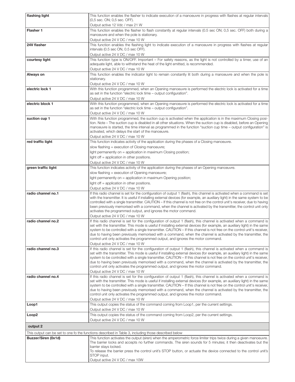| flashing light      | This function enables the flasher to indicate execution of a manoeuvre in progress with flashes at regular intervals                                                                                   |
|---------------------|--------------------------------------------------------------------------------------------------------------------------------------------------------------------------------------------------------|
|                     | (0,5 sec. ON; 0,5 sec. OFF).                                                                                                                                                                           |
|                     | Output active 12 Vdc / max 21 W                                                                                                                                                                        |
| Flasher 1           | This function enables the flasher to flash constantly at reqular intervals (0.5 sec ON; 0,5 sec. OFF) both during a                                                                                    |
|                     | manoeuvre and when the pole is stationary.                                                                                                                                                             |
|                     | Output active 24 V DC / max 10 W                                                                                                                                                                       |
| 24V flasher         | This function enables the flashing light to indicate execution of a manoeuvre in progress with flashes at regular                                                                                      |
|                     | intervals (0.5 sec ON, 0.5 sec OFF).                                                                                                                                                                   |
|                     | Output active 24 V DC / max 10 W                                                                                                                                                                       |
| courtesy light      | This function type is ON/OFF. Important – For safety reasons, as the light is not controlled by a timer, use of an<br>adequate light, able to withstand the heat of the light emitted, is recommended. |
|                     | Output active 24 V DC / max 10 W                                                                                                                                                                       |
| Always on           | This function enables the indicator light to remain constantly lit both during a manoeuvre and when the pole is                                                                                        |
|                     | stationary.                                                                                                                                                                                            |
|                     | Output active 24 V DC / max 10 W                                                                                                                                                                       |
| electric lock 1     | With this function programmed, when an Opening manoeuvre is performed the electric lock is activated for a time                                                                                        |
|                     | as set in the function "electric lock time – output configuration".                                                                                                                                    |
|                     | Output active 24 V DC / max 10 W                                                                                                                                                                       |
| electric block 1    | With this function programmed, when an Opening manoeuvre is performed the electric lock is activated for a time                                                                                        |
|                     | as set in the function "electric lock time – output configuration".                                                                                                                                    |
|                     | Output active 24 V DC / max 10 W                                                                                                                                                                       |
| suction cup 1       | With this function programmed, the suction cup is activated when the application is in the maximum Closing posi-                                                                                       |
|                     | tion. Note – The suction cup is disabled in all other situations. When the suction cup is disabled, before an Opening                                                                                  |
|                     | manoeuvre is started, the time interval as programmed in the function "suction cup time - output configuration" is                                                                                     |
|                     | activated, which delays the start of the manoeuvre.                                                                                                                                                    |
|                     | Output active 24 V DC / max 10 W                                                                                                                                                                       |
| red traffic light   | This function indicates activity of the application during the phases of a Closing manoeuvre.                                                                                                          |
|                     | slow flashing = execution of Closing manoeuvre;                                                                                                                                                        |
|                     | light permanently on = application in maximum Closing position;                                                                                                                                        |
|                     | light off = application in other positions.                                                                                                                                                            |
|                     | Output active 24 V DC / max 10 W                                                                                                                                                                       |
| green traffic light | This function indicates activity of the application during the phases of an Opening manoeuvre.                                                                                                         |
|                     | slow flashing = execution of Opening manoeuvre;                                                                                                                                                        |
|                     | light permanently on = application in maximum Opening position;                                                                                                                                        |
|                     | light off = application in other positions.                                                                                                                                                            |
|                     | Output active 24 V DC / max 10 W                                                                                                                                                                       |
| radio channel no.1  | If this radio channel is set for the configuration of output 1 (flash), this channel is activated when a command is set                                                                                |
|                     | with the transmitter. It is useful if installing external devices (for example, an auxiliary light) in the same system to be                                                                           |
|                     | controlled with a single transmitter. CAUTION - If this channel is not free on the control unit's receiver, due to having                                                                              |
|                     | been previously memorised with a command, when the channel is activated by the transmitter, the control unit only<br>activates the programmed output, and ignores the motor command.                   |
|                     | Output active 24 V DC / max 10 W                                                                                                                                                                       |
| radio channel no.2  | If this radio channel is set for the configuration of output 1 (flash), this channel is activated when a command is                                                                                    |
|                     | set with the transmitter. This mode is useful if installing external devices (for example, an auxiliary light) in the same                                                                             |
|                     | system to be controlled with a single transmitter. CAUTION - If this channel is not free on the control unit's receiver,                                                                               |
|                     | due to having been previously memorised with a command, when the channel is activated by the transmitter, the                                                                                          |
|                     | control unit only activates the programmed output, and ignores the motor command.                                                                                                                      |
|                     | Output active 24 V DC / max 10 W                                                                                                                                                                       |
| radio channel no.3  | If this radio channel is set for the configuration of output 1 (flash), this channel is activated when a command is                                                                                    |
|                     | set with the transmitter. This mode is useful if installing external devices (for example, an auxiliary light) in the same                                                                             |
|                     | system to be controlled with a single transmitter. CAUTION – If this channel is not free on the control unit's receiver,                                                                               |
|                     | due to having been previously memorised with a command, when the channel is activated by the transmitter, the<br>control unit only activates the programmed output, and ignores the motor command.     |
|                     | Output active 24 V DC / max 10 W                                                                                                                                                                       |
| radio channel no.4  | If this radio channel is set for the configuration of output 1 (flash), this channel is activated when a command is                                                                                    |
|                     | set with the transmitter. This mode is useful if installing external devices (for example, an auxiliary light) in the same                                                                             |
|                     | system to be controlled with a single transmitter. CAUTION – If this channel is not free on the control unit's receiver,                                                                               |
|                     | due to having been previously memorised with a command, when the channel is activated by the transmitter, the                                                                                          |
|                     | control unit only activates the programmed output, and ignores the motor command.                                                                                                                      |
|                     | Output active 24 V DC / max 10 W                                                                                                                                                                       |
| Loop1               | This output copies the status of the command coming from Loop1, per the current settings.                                                                                                              |
|                     | Output active 24 V DC / max 10 W                                                                                                                                                                       |
| Loop <sub>2</sub>   | This output copies the status of the command coming from Loop2, per the current settings.                                                                                                              |
|                     | Output active 24 V DC / max 10 W                                                                                                                                                                       |
| output 2            |                                                                                                                                                                                                        |
|                     | This output can be set to one fo the functions described in Table 3, including those described below                                                                                                   |
| Buzzer/Siren (0x1d) | This function activates the output (siren) when the amperometric force limiter trips twice during a given manoeuvre.                                                                                   |
|                     | The barrier locks and accepts no further commands. The siren sounds for 5 minutes; it then deactivates but the                                                                                         |
|                     | barrier stays locked.                                                                                                                                                                                  |
|                     | To release the barrier press the control unit's STOP button, or actuate the device connected to the control unit's                                                                                     |
|                     | STOP input.                                                                                                                                                                                            |
|                     | Output active 24 V DC / max 10W                                                                                                                                                                        |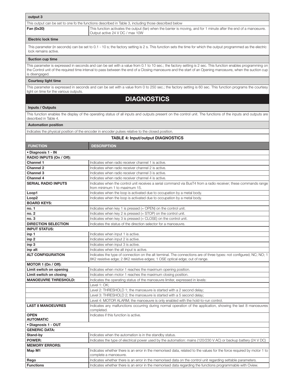| output 3                                                                                                                                                                              |                                                                                                                                                                                                     |  |
|---------------------------------------------------------------------------------------------------------------------------------------------------------------------------------------|-----------------------------------------------------------------------------------------------------------------------------------------------------------------------------------------------------|--|
| This output can be set to one fo the functions described in Table 3, including those described below                                                                                  |                                                                                                                                                                                                     |  |
| Fan (0x20)                                                                                                                                                                            | This function activates the output (fan) when the barrier is moving, and for 1 minute after the end of a manoeuvre.<br>Output active 24 V DC / max 10W                                              |  |
| <b>Electric lock time</b>                                                                                                                                                             |                                                                                                                                                                                                     |  |
| This parameter (in seconds) can be set to 0.1 - 10 s; the factory setting is 2 s. This function sets the time for which the output programmed as the electric<br>lock remains active. |                                                                                                                                                                                                     |  |
| Suction cup time                                                                                                                                                                      |                                                                                                                                                                                                     |  |
|                                                                                                                                                                                       | This parameter is expressed in seconds and can be set with a value from 0.1 to 10 sec.; the factory setting is 2 sec. This function enables programming on                                          |  |
| is disengaged.                                                                                                                                                                        | the Control unit of the required time interval to pass between the end of a Closing manoeuvre and the start of an Opening manoeuvre, when the suction cup                                           |  |
| <b>Courtesy light time</b>                                                                                                                                                            |                                                                                                                                                                                                     |  |
|                                                                                                                                                                                       |                                                                                                                                                                                                     |  |
| light on time for the various outputs.                                                                                                                                                | This parameter is expressed in seconds and can be set with a value from 0 to 250 sec.; the factory setting is 60 sec. This function programs the courtesy                                           |  |
|                                                                                                                                                                                       | <b>DIAGNOSTICS</b>                                                                                                                                                                                  |  |
|                                                                                                                                                                                       |                                                                                                                                                                                                     |  |
| Inputs / Outputs                                                                                                                                                                      |                                                                                                                                                                                                     |  |
| This function enables the display of the operating status of all inputs and outputs present on the control unit. The functions of the inputs and outputs are<br>described in Table 4. |                                                                                                                                                                                                     |  |
| <b>Automation position</b>                                                                                                                                                            |                                                                                                                                                                                                     |  |
|                                                                                                                                                                                       | Indicates the physical position of the encoder in encoder pulses relative to the closed position.                                                                                                   |  |
|                                                                                                                                                                                       | <b>TABLE 4: Input/output DIAGNOSTICS</b>                                                                                                                                                            |  |
| <b>FUNCTION</b>                                                                                                                                                                       | <b>DESCRIPTION</b>                                                                                                                                                                                  |  |
| · Diagnosis 1 - IN                                                                                                                                                                    |                                                                                                                                                                                                     |  |
| RADIO INPUTS (On / Off):                                                                                                                                                              |                                                                                                                                                                                                     |  |
| <b>Channel 1</b>                                                                                                                                                                      | Indicates when radio receiver channel 1 is active.                                                                                                                                                  |  |
| <b>Channel 2</b><br><b>Channel 3</b>                                                                                                                                                  | Indicates when radio receiver channel 2 is active.<br>Indicates when radio receiver channel 3 is active.                                                                                            |  |
| <b>Channel 4</b>                                                                                                                                                                      | Indicates when radio receiver channel 4 is active.                                                                                                                                                  |  |
| <b>SERIAL RADIO INPUTS</b>                                                                                                                                                            | Indicates when the control unit receives a serial command via BusT4 from a radio receiver; these commands range                                                                                     |  |
|                                                                                                                                                                                       | from minimum 1 to maximum 15.                                                                                                                                                                       |  |
| Loop1                                                                                                                                                                                 | Indicates when the loop is activated due to occupation by a metal body.                                                                                                                             |  |
| Loop <sub>2</sub>                                                                                                                                                                     | Indicates when the loop is activated due to occupation by a metal body.                                                                                                                             |  |
| <b>BOARD KEYS:</b>                                                                                                                                                                    |                                                                                                                                                                                                     |  |
| no. 1<br>no. 2                                                                                                                                                                        | Indicates when key 1 is pressed (= OPEN) on the control unit.<br>Indicates when key 2 is pressed (= STOP) on the control unit.                                                                      |  |
| no. 3                                                                                                                                                                                 | Indicates when key 3 is pressed (= CLOSE) on the control unit.                                                                                                                                      |  |
| <b>DIRECTION SELECTION</b>                                                                                                                                                            | Indicates the status of the direction selector for a manoeuvre.                                                                                                                                     |  |
| <b>INPUT STATUS:</b>                                                                                                                                                                  |                                                                                                                                                                                                     |  |
| inp 1                                                                                                                                                                                 | Indicates when input 1 is active.                                                                                                                                                                   |  |
| inp <sub>2</sub>                                                                                                                                                                      | Indicates when input 2 is active.                                                                                                                                                                   |  |
| inp <sub>3</sub>                                                                                                                                                                      | Indicates when input 3 is active.                                                                                                                                                                   |  |
| inp alt                                                                                                                                                                               | Indicates when the alt input is active.                                                                                                                                                             |  |
| <b>ALT CONFIGURATION</b>                                                                                                                                                              | Indicates the type of connection on the alt terminal. The connections are of three types: not configured; NC; NO; 1<br>8K2 resistive edge; 2 8K2 resistive edges; 1 OSE optical edge; out of range. |  |
| MOTOR 1 (On / Off):                                                                                                                                                                   |                                                                                                                                                                                                     |  |
| Limit switch on opening                                                                                                                                                               | Indicates when motor 1 reaches the maximum opening position.                                                                                                                                        |  |
| Limit switch on closing                                                                                                                                                               | Indicates when motor 1 reaches the maximum closing position.                                                                                                                                        |  |
| <b>MANOEUVRE THRESHOLD:</b>                                                                                                                                                           | Indicates the operating status of the manoeuvre limiter, expressed in levels:                                                                                                                       |  |
|                                                                                                                                                                                       | Level 1: OK;                                                                                                                                                                                        |  |
|                                                                                                                                                                                       | Level 2: THRESHOLD 1; the manoeuvre is started with a 2 second delay;<br>Level 3: THRESHOLD 2; the manoeuvre is started with a 5 second delay;                                                      |  |
|                                                                                                                                                                                       | Level 4: MOTOR ALARM; the manoeuvre is only enabled with the hold-to-run control.                                                                                                                   |  |
| <b>LAST 8 MANOEUVRES</b>                                                                                                                                                              | Indicates any malfunctions occurring during normal operation of the application, showing the last 8 manoeuvres                                                                                      |  |
|                                                                                                                                                                                       | completed.                                                                                                                                                                                          |  |
| <b>OPEN</b><br><b>AUTOMATIC</b>                                                                                                                                                       | Indicates if this function is active.                                                                                                                                                               |  |
| · Diagnosis 1 - OUT                                                                                                                                                                   |                                                                                                                                                                                                     |  |
| <b>GENERIC DATA:</b>                                                                                                                                                                  |                                                                                                                                                                                                     |  |
| Stand-by                                                                                                                                                                              | Indicates when the automation is in the standby status.                                                                                                                                             |  |
| <b>POWER:</b>                                                                                                                                                                         | Indicates the type of electrical power used by the automation: mains (120/230 V AC) or backup battery (24 V DC)                                                                                     |  |
| <b>MEMORY ERRORS:</b>                                                                                                                                                                 |                                                                                                                                                                                                     |  |
| Map M1                                                                                                                                                                                | Indicates whether there is an error in the memorised data, related to the values for the force required by motor 1 to<br>complete a manoeuvre.                                                      |  |
| Rego                                                                                                                                                                                  | Indicates whether there is an error in the memorised data on the control unit regarding settable parameters.                                                                                        |  |
| <b>Functions</b>                                                                                                                                                                      | Indicates whether there is an error in the memorised data regarding the functions programmable with Oview.                                                                                          |  |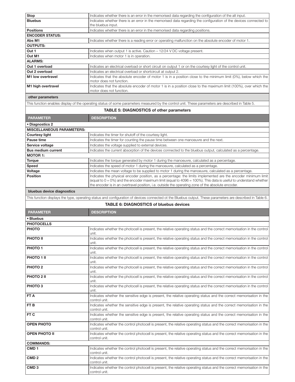| <b>Stop</b>                                                                                                                                                | Indicates whether there is an error in the memorised data regarding the configuration of the alt input.                                                                                                                     |
|------------------------------------------------------------------------------------------------------------------------------------------------------------|-----------------------------------------------------------------------------------------------------------------------------------------------------------------------------------------------------------------------------|
| <b>Bluebus</b>                                                                                                                                             | Indicates whether there is an error in the memorised data regarding the configuration of the devices connected to<br>the bluebus input.                                                                                     |
| <b>Positions</b>                                                                                                                                           | Indicates whether there is an error in the memorised data regarding positions.                                                                                                                                              |
| <b>ENCODER STATUS:</b>                                                                                                                                     |                                                                                                                                                                                                                             |
| Abs M1                                                                                                                                                     | Indicates whether there is a reading error or operating malfunction on the absolute encoder of motor 1.                                                                                                                     |
| <b>OUTPUTS:</b>                                                                                                                                            |                                                                                                                                                                                                                             |
| Out 1                                                                                                                                                      | Indicates when output 1 is active. Caution - 12/24 V DC voltage present.                                                                                                                                                    |
| Out M1<br><b>ALARMS:</b>                                                                                                                                   | Indicates when motor 1 is in operation.                                                                                                                                                                                     |
| Out 1 overload                                                                                                                                             | Indicates an electrical overload or short circuit on output 1 or on the courtesy light of the control unit.                                                                                                                 |
| Out 2 overload                                                                                                                                             | Indicates an electrical overload or shortcircuit at output 2.                                                                                                                                                               |
| M <sub>1</sub> low overtravel                                                                                                                              | Indicates that the absolute encoder of motor 1 is in a position close to the minimum limit (0%), below which the                                                                                                            |
|                                                                                                                                                            | motor does not function.                                                                                                                                                                                                    |
| M1 high overtravel                                                                                                                                         | Indicates that the absolute encoder of motor 1 is in a position close to the maximum limit (100%), over which the<br>motor does not function.                                                                               |
| other parameters                                                                                                                                           |                                                                                                                                                                                                                             |
|                                                                                                                                                            | This function enables display of the operating status of some parameters measured by the control unit. These parameters are described in Table 5.                                                                           |
|                                                                                                                                                            | <b>TABLE 5: DIAGNOSTICS of other parameters</b>                                                                                                                                                                             |
| <b>PARAMETER</b>                                                                                                                                           | <b>DESCRIPTION</b>                                                                                                                                                                                                          |
| • Diagnostics 2                                                                                                                                            |                                                                                                                                                                                                                             |
| <b>MISCELLANEOUS PARAMETERS:</b>                                                                                                                           |                                                                                                                                                                                                                             |
| <b>Courtesy light</b><br>Pause time                                                                                                                        | Indicates the timer for shutoff of the courtesy light.                                                                                                                                                                      |
| Service voltage                                                                                                                                            | Indicates the timer for counting the pause time between one manoeuvre and the next.<br>Indicates the voltage supplied to external devices.                                                                                  |
| <b>Bus medium current</b>                                                                                                                                  | Indicates the current absorption of the devices connected to the bluebus output, calculated as a percentage.                                                                                                                |
| <b>MOTOR 1:</b>                                                                                                                                            |                                                                                                                                                                                                                             |
| <b>Torque</b>                                                                                                                                              | Indicates the torque generated by motor 1 during the manoeuvre, calculated as a percentage.                                                                                                                                 |
| Speed                                                                                                                                                      | Indicates the speed of motor 1 during the manoeuvre, calculated as a percentage.                                                                                                                                            |
| Voltage                                                                                                                                                    | Indicates the mean voltage to be supplied to motor 1 during the manoeuvre, calculated as a percentage.                                                                                                                      |
| <b>Position</b>                                                                                                                                            | Indicates the physical encoder position, as a percentage: the limits implemented are the encoder minimum limit                                                                                                              |
|                                                                                                                                                            | (equal to $0 = 0\%$ ) and the encoder maximum limit (equal to 4096 = 100%). This data is useful to understand whether<br>the encoder is in an overtravel position, i.e. outside the operating zone of the absolute encoder. |
| bluebus device diagnostics                                                                                                                                 |                                                                                                                                                                                                                             |
| This function displays the type, operating status and configuration of devices connected ot the Bluebus output. These parameters are described in Table 6. |                                                                                                                                                                                                                             |
|                                                                                                                                                            | <b>TABLE 6: DIAGNOSTICS of bluebus devices</b>                                                                                                                                                                              |
|                                                                                                                                                            |                                                                                                                                                                                                                             |
| <b>PARAMETER</b>                                                                                                                                           | <b>DESCRIPTION</b>                                                                                                                                                                                                          |
| • Bluebus                                                                                                                                                  |                                                                                                                                                                                                                             |
| <b>PHOTOCELLS</b>                                                                                                                                          |                                                                                                                                                                                                                             |
| <b>PHOTO</b>                                                                                                                                               | Indicates whether the photocell is present, the relative operating status and the correct memorisation in the control<br>unit.                                                                                              |
| <b>PHOTO II</b>                                                                                                                                            | Indicates whether the photocell is present, the relative operating status and the correct memorisation in the control<br>unit.                                                                                              |
| PHOTO <sub>1</sub>                                                                                                                                         | Indicates whether the photocell is present, the relative operating status and the correct memorisation in the control<br>unit.                                                                                              |
| PHOTO 1 II                                                                                                                                                 | Indicates whether the photocell is present, the relative operating status and the correct memorisation in the control<br>unit.                                                                                              |
| PHOTO <sub>2</sub>                                                                                                                                         | Indicates whether the photocell is present, the relative operating status and the correct memorisation in the control<br>unit.                                                                                              |
| <b>PHOTO 2 II</b>                                                                                                                                          | Indicates whether the photocell is present, the relative operating status and the correct memorisation in the control<br>unit.                                                                                              |
| PHOTO <sub>3</sub>                                                                                                                                         | Indicates whether the photocell is present, the relative operating status and the correct memorisation in the control<br>unit.                                                                                              |
| <b>FTA</b>                                                                                                                                                 | Indicates whether the sensitive edge is present, the relative operating status and the correct memorisation in the<br>control unit.                                                                                         |
| FT <sub>B</sub>                                                                                                                                            | Indicates whether the sensitive edge is present, the relative operating status and the correct memorisation in the<br>control unit.                                                                                         |
| <b>FT C</b>                                                                                                                                                | Indicates whether the sensitive edge is present, the relative operating status and the correct memorisation in the<br>control unit.                                                                                         |
| <b>OPEN PHOTO</b>                                                                                                                                          | Indicates whether the control photocell is present, the relative operating status and the correct memorisation in the<br>control unit.                                                                                      |
| <b>OPEN PHOTO II</b>                                                                                                                                       | Indicates whether the control photocell is present, the relative operating status and the correct memorisation in the<br>control unit.                                                                                      |
| <b>COMMANDS:</b>                                                                                                                                           |                                                                                                                                                                                                                             |
| CMD <sub>1</sub>                                                                                                                                           | Indicates whether the control photocell is present, the relative operating status and the correct memorisation in the<br>control unit.                                                                                      |
| CMD <sub>2</sub>                                                                                                                                           | Indicates whether the control photocell is present, the relative operating status and the correct memorisation in the<br>control unit.                                                                                      |